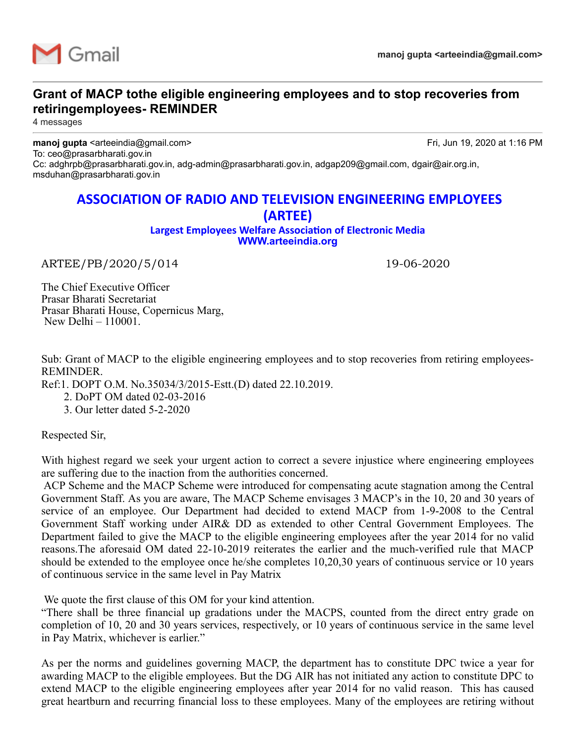

## **Grant of MACP tothe eligible engineering employees and to stop recoveries from retiringemployees- REMINDER**

4 messages

**manoj gupta** <arteeindia@gmail.com> Fri, Jun 19, 2020 at 1:16 PM To: ceo@prasarbharati.gov.in Cc: adghrpb@prasarbharati.gov.in, adg-admin@prasarbharati.gov.in, adgap209@gmail.com, dgair@air.org.in, msduhan@prasarbharati.gov.in

## **ASSOCIATION OF RADIO AND TELEVISION ENGINEERING EMPLOYEES (ARTEE)**

**Largest Employees Welfare Association of Electronic Media [WWW.arteeindia.org](http://www.arteeindia.org/)**

ARTEE/PB/2020/5/014 19-06-2020

The Chief Executive Officer Prasar Bharati Secretariat Prasar Bharati House, Copernicus Marg, New Delhi – 110001.

Sub: Grant of MACP to the eligible engineering employees and to stop recoveries from retiring employees-REMINDER.

Ref:1. DOPT O.M. No.35034/3/2015-Estt.(D) dated 22.10.2019.

2. DoPT OM dated 02-03-2016

3. Our letter dated 5-2-2020

Respected Sir,

With highest regard we seek your urgent action to correct a severe injustice where engineering employees are suffering due to the inaction from the authorities concerned.

ACP Scheme and the MACP Scheme were introduced for compensating acute stagnation among the Central Government Staff. As you are aware, The MACP Scheme envisages 3 MACP's in the 10, 20 and 30 years of service of an employee. Our Department had decided to extend MACP from 1-9-2008 to the Central Government Staff working under AIR& DD as extended to other Central Government Employees. The Department failed to give the MACP to the eligible engineering employees after the year 2014 for no valid reasons.The aforesaid OM dated 22-10-2019 reiterates the earlier and the much-verified rule that MACP should be extended to the employee once he/she completes 10,20,30 years of continuous service or 10 years of continuous service in the same level in Pay Matrix

We quote the first clause of this OM for your kind attention.

"There shall be three financial up gradations under the MACPS, counted from the direct entry grade on completion of 10, 20 and 30 years services, respectively, or 10 years of continuous service in the same level in Pay Matrix, whichever is earlier."

As per the norms and guidelines governing MACP, the department has to constitute DPC twice a year for awarding MACP to the eligible employees. But the DG AIR has not initiated any action to constitute DPC to extend MACP to the eligible engineering employees after year 2014 for no valid reason. This has caused great heartburn and recurring financial loss to these employees. Many of the employees are retiring without